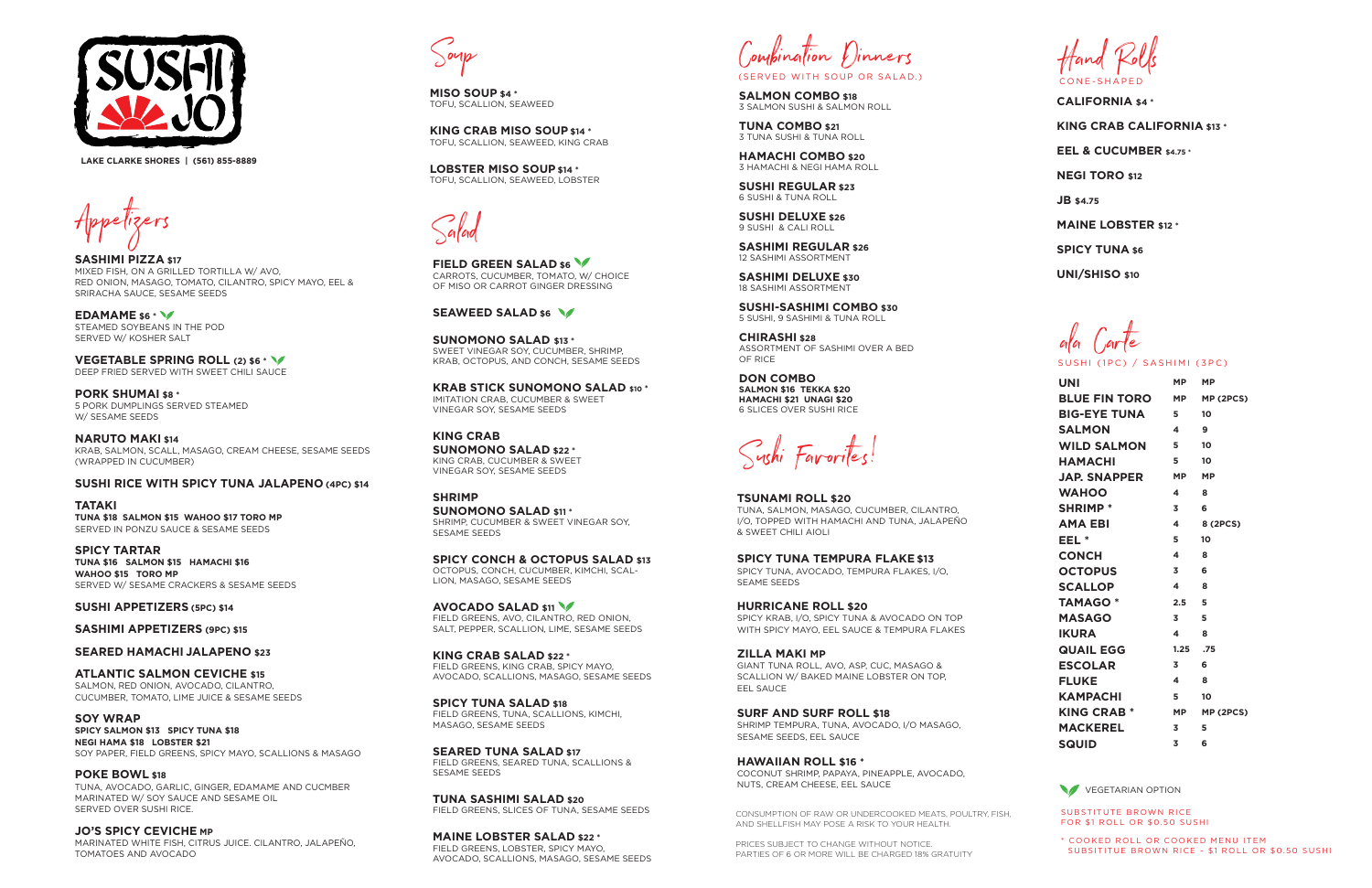Appetizers

**SASHIMI PIZZA \$17** MIXED FISH, ON A GRILLED TORTILLA W/ AVO, RED ONION, MASAGO, TOMATO, CILANTRO, SPICY MAYO, EEL & SRIRACHA SAUCE, SESAME SEEDS

**PORK SHUMAI \$8 \*** 5 PORK DUMPLINGS SERVED STEAMED W/ SESAME SEEDS

**EDAMAME \$6 \*** STEAMED SOYBEANS IN THE POD SERVED W/ KOSHER SALT

**VEGETABLE SPRING ROLL (2) \$6 \*** DEEP FRIED SERVED WITH SWEET CHILI SAUCE

**NARUTO MAKI \$14** KRAB, SALMON, SCALL, MASAGO, CREAM CHEESE, SESAME SEEDS (WRAPPED IN CUCUMBER)

### **SUSHI RICE WITH SPICY TUNA JALAPENO (4PC) \$14**

**TATAKI TUNA \$18 SALMON \$15 WAHOO \$17 TORO MP** SERVED IN PONZU SAUCE & SESAME SEEDS

**SPICY TARTAR TUNA \$16 SALMON \$15 HAMACHI \$16 WAHOO \$15 TORO MP**  SERVED W/ SESAME CRACKERS & SESAME SEEDS **FIELD GREEN SALAD \$6** CARROTS, CUCUMBER, TOMATO, W/ CHOICE OF MISO OR CARROT GINGER DRESSING

#### **SEAWEED SALAD \$6 \/**

**SUSHI APPETIZERS (5PC) \$14**

**SASHIMI APPETIZERS (9PC) \$15**

### **SEARED HAMACHI JALAPENO \$23**

**KRAB STICK SUNOMONO SALAD \$10 \*** IMITATION CRAB, CUCUMBER & SWEET VINEGAR SOY, SESAME SEEDS

**ATLANTIC SALMON CEVICHE \$15** SALMON, RED ONION, AVOCADO, CILANTRO, CUCUMBER, TOMATO, LIME JUICE & SESAME SEEDS

**SOY WRAP SPICY SALMON \$13 SPICY TUNA \$18 NEGI HAMA \$18 LOBSTER \$21** SOY PAPER, FIELD GREENS, SPICY MAYO, SCALLIONS & MASAGO

**POKE BOWL \$18** TUNA, AVOCADO, GARLIC, GINGER, EDAMAME AND CUCMBER MARINATED W/ SOY SAUCE AND SESAME OIL SERVED OVER SUSHI RICE.

**JO'S SPICY CEVICHE MP** MARINATED WHITE FISH, CITRUS JUICE. CILANTRO, JALAPEÑO, TOMATOES AND AVOCADO

Salad

**SUNOMONO SALAD \$13 \*** SWEET VINEGAR SOY, CUCUMBER, SHRIMP, KRAB, OCTOPUS, AND CONCH, SESAME SEEDS

**KING CRAB SUNOMONO SALAD \$22 \*** KING CRAB, CUCUMBER & SWEET VINEGAR SOY, SESAME SEEDS

**SHRIMP SUNOMONO SALAD \$11 \*** SHRIMP, CUCUMBER & SWEET VINEGAR SOY, SESAME SEEDS

**SPICY CONCH & OCTOPUS SALAD \$13** OCTOPUS, CONCH, CUCUMBER, KIMCHI, SCAL-LION, MASAGO, SESAME SEEDS

**AVOCADO SALAD \$11** FIELD GREENS, AVO, CILANTRO, RED ONION, SALT, PEPPER, SCALLION, LIME, SESAME SEEDS

**KING CRAB SALAD \$22 \*** FIELD GREENS, KING CRAB, SPICY MAYO, AVOCADO, SCALLIONS, MASAGO, SESAME SEEDS

**SPICY TUNA SALAD \$18** FIELD GREENS, TUNA, SCALLIONS, KIMCHI, MASAGO, SESAME SEEDS

**SEARED TUNA SALAD \$17** FIELD GREENS, SEARED TUNA, SCALLIONS & SESAME SEEDS

**TUNA SASHIMI SALAD \$20** FIELD GREENS, SLICES OF TUNA, SESAME SEEDS

**MAINE LOBSTER SALAD \$22 \*** FIELD GREENS, LOBSTER, SPICY MAYO, AVOCADO, SCALLIONS, MASAGO, SESAME SEEDS

Compination Dinners

| <b>UNI</b>           | <b>MP</b> | <b>MP</b> |
|----------------------|-----------|-----------|
| <b>BLUE FIN TORO</b> | <b>MP</b> | MP (2PCS) |
| <b>BIG-EYE TUNA</b>  | 5         | 10        |
| <b>SALMON</b>        | 4         | 9         |
| <b>WILD SALMON</b>   | 5         | 10        |
| <b>HAMACHI</b>       | 5         | 10        |
| <b>JAP. SNAPPER</b>  | <b>MP</b> | <b>MP</b> |
| <b>WAHOO</b>         | 4         | Զ         |
| <b>SHRIMP *</b>      | 3         | 6         |
| <b>AMA EBI</b>       | 4         | 8 (2PCS)  |
| EEL *                | 5         | 10        |
| <b>CONCH</b>         | 4         | 8         |
| <b>OCTOPUS</b>       | 3         | 6         |
| <b>SCALLOP</b>       | 4         | 8         |
| <b>TAMAGO*</b>       | 2.5       | 5         |
| <b>MASAGO</b>        | 3         | 5         |
| <b>IKURA</b>         | 4         | 8         |
| <b>QUAIL EGG</b>     | 1.25      | .75       |
| <b>ESCOLAR</b>       | 3         | 6         |
| <b>FLUKE</b>         | 4         | 8         |
| <b>KAMPACHI</b>      | 5         | 10        |
| <b>KING CRAB *</b>   | <b>MP</b> | MP (2PCS) |
| <b>MACKEREL</b>      | 3         | 5         |
| <b>SQUID</b>         | 3         | 6         |

VEGETARIAN OPTION

ala Carte SUSHI (1PC) / SASHIMI (3PC)

Sushi Favorites!



**CALIFORNIA \$4 \* KING CRAB CALIFORNIA \$13 \* EEL & CUCUMBER \$4.75 \* NEGI TORO \$12 JB \$4.75 MAINE LOBSTER \$12 \* SPICY TUNA \$6**

**UNI/SHISO \$10**

**SALMON COMBO \$18** 3 SALMON SUSHI & SALMON ROLL

**TUNA COMBO \$21** 3 TUNA SUSHI & TUNA ROLL

**HAMACHI COMBO \$20** 3 HAMACHI & NEGI HAMA ROLL

**SUSHI REGULAR \$23** 6 SUSHI & TUNA ROLL

**SUSHI DELUXE \$26** 9 SUSHI & CALI ROLL

**SASHIMI REGULAR \$26** 12 SASHIMI ASSORTMENT

**SASHIMI DELUXE \$30** 18 SASHIMI ASSORTMENT

**SUSHI-SASHIMI COMBO \$30** 5 SUSHI, 9 SASHIMI & TUNA ROLL

**CHIRASHI \$28** ASSORTMENT OF SASHIMI OVER A BED OF RICE

**DON COMBO SALMON \$16 TEKKA \$20 HAMACHI \$21 UNAGI \$20** 6 SLICES OVER SUSHI RICE

> SUBSTITUTE BROWN RICE FOR \$1 ROLL OR \$0.50 SUSHI

\* COOKED ROLL OR COOKED MENU ITEM SUBSITITUE BROWN RICE - \$1 ROLL OR \$0.50 SUSHI

CONSUMPTION OF RAW OR UNDERCOOKED MEATS, POULTRY, FISH, AND SHELLFISH MAY POSE A RISK TO YOUR HEALTH.

PRICES SUBJECT TO CHANGE WITHOUT NOTICE. PARTIES OF 6 OR MORE WILL BE CHARGED 18% GRATUITY

**TSUNAMI ROLL \$20** TUNA, SALMON, MASAGO, CUCUMBER, CILANTRO, I/O, TOPPED WITH HAMACHI AND TUNA, JALAPEÑO & SWEET CHILI AIOLI

**SPICY TUNA TEMPURA FLAKE \$13** SPICY TUNA, AVOCADO, TEMPURA FLAKES, I/O, SEAME SEEDS

**HURRICANE ROLL \$20** SPICY KRAB, I/O, SPICY TUNA & AVOCADO ON TOP WITH SPICY MAYO, EEL SAUCE & TEMPURA FLAKES

**ZILLA MAKI MP**  GIANT TUNA ROLL, AVO, ASP, CUC, MASAGO & SCALLION W/ BAKED MAINE LOBSTER ON TOP, EEL SAUCE

**SURF AND SURF ROLL \$18** SHRIMP TEMPURA, TUNA, AVOCADO, I/O MASAGO, SESAME SEEDS, EEL SAUCE

**HAWAIIAN ROLL \$16 \*** COCONUT SHRIMP, PAPAYA, PINEAPPLE, AVOCADO, NUTS, CREAM CHEESE, EEL SAUCE



**LAKE CLARKE SHORES | (561) 855-8889**



**MISO SOUP \$4 \*** TOFU, SCALLION, SEAWEED

**KING CRAB MISO SOUP \$14 \*** TOFU, SCALLION, SEAWEED, KING CRAB

**LOBSTER MISO SOUP \$14 \*** TOFU, SCALLION, SEAWEED, LOBSTER